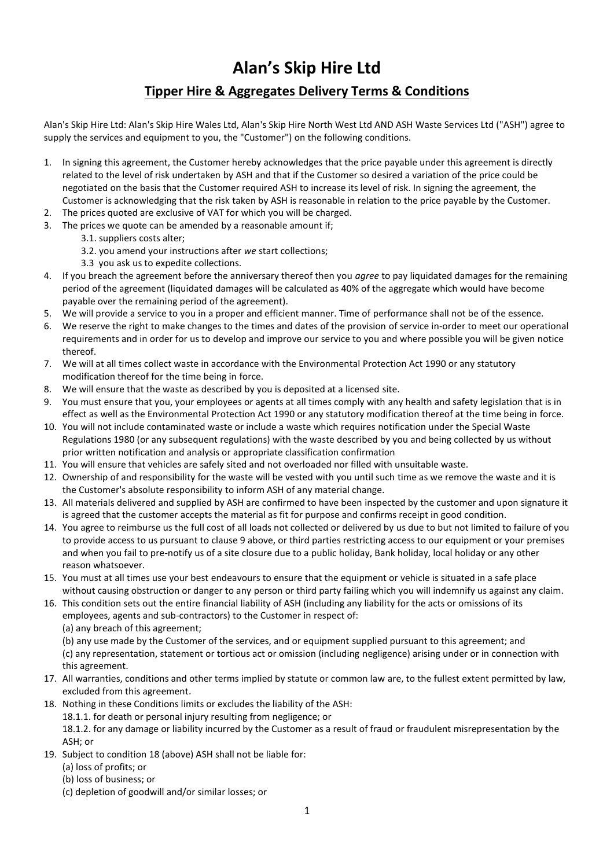## **Alan's Skip Hire Ltd Tipper Hire & Aggregates Delivery Terms & Conditions**

Alan's Skip Hire Ltd: Alan's Skip Hire Wales Ltd, Alan's Skip Hire North West Ltd AND ASH Waste Services Ltd ("ASH") agree to supply the services and equipment to you, the "Customer") on the following conditions.

- 1. In signing this agreement, the Customer hereby acknowledges that the price payable under this agreement is directly related to the level of risk undertaken by ASH and that if the Customer so desired a variation of the price could be negotiated on the basis that the Customer required ASH to increase its level of risk. In signing the agreement, the Customer is acknowledging that the risk taken by ASH is reasonable in relation to the price payable by the Customer.
- 2. The prices quoted are exclusive of VAT for which you will be charged.
- 3. The prices we quote can be amended by a reasonable amount if;
	- 3.1. suppliers costs alter;
	- 3.2. you amend your instructions after *we* start collections;
	- 3.3 you ask us to expedite collections.
- 4. If you breach the agreement before the anniversary thereof then you *agree* to pay liquidated damages for the remaining period of the agreement (liquidated damages will be calculated as 40% of the aggregate which would have become payable over the remaining period of the agreement).
- 5. We will provide a service to you in a proper and efficient manner. Time of performance shall not be of the essence.
- 6. We reserve the right to make changes to the times and dates of the provision of service in-order to meet our operational requirements and in order for us to develop and improve our service to you and where possible you will be given notice thereof.
- 7. We will at all times collect waste in accordance with the Environmental Protection Act 1990 or any statutory modification thereof for the time being in force.
- 8. We will ensure that the waste as described by you is deposited at a licensed site.
- 9. You must ensure that you, your employees or agents at all times comply with any health and safety legislation that is in effect as well as the Environmental Protection Act 1990 or any statutory modification thereof at the time being in force.
- 10. You will not include contaminated waste or include a waste which requires notification under the Special Waste Regulations 1980 (or any subsequent regulations) with the waste described by you and being collected by us without prior written notification and analysis or appropriate classification confirmation
- 11. You will ensure that vehicles are safely sited and not overloaded nor filled with unsuitable waste.
- 12. Ownership of and responsibility for the waste will be vested with you until such time as we remove the waste and it is the Customer's absolute responsibility to inform ASH of any material change.
- 13. All materials delivered and supplied by ASH are confirmed to have been inspected by the customer and upon signature it is agreed that the customer accepts the material as fit for purpose and confirms receipt in good condition.
- 14. You agree to reimburse us the full cost of all loads not collected or delivered by us due to but not limited to failure of you to provide access to us pursuant to clause 9 above, or third parties restricting access to our equipment or your premises and when you fail to pre-notify us of a site closure due to a public holiday, Bank holiday, local holiday or any other reason whatsoever.
- 15. You must at all times use your best endeavours to ensure that the equipment or vehicle is situated in a safe place without causing obstruction or danger to any person or third party failing which you will indemnify us against any claim.
- 16. This condition sets out the entire financial liability of ASH (including any liability for the acts or omissions of its employees, agents and sub-contractors) to the Customer in respect of:
	- (a) any breach of this agreement;

(b) any use made by the Customer of the services, and or equipment supplied pursuant to this agreement; and (c) any representation, statement or tortious act or omission (including negligence) arising under or in connection with this agreement.

- 17. All warranties, conditions and other terms implied by statute or common law are, to the fullest extent permitted by law, excluded from this agreement.
- 18. Nothing in these Conditions limits or excludes the liability of the ASH:

18.1.1. for death or personal injury resulting from negligence; or

18.1.2. for any damage or liability incurred by the Customer as a result of fraud or fraudulent misrepresentation by the ASH; or

- 19. Subject to condition 18 (above) ASH shall not be liable for:
	- (a) loss of profits; or
	- (b) loss of business; or
	- (c) depletion of goodwill and/or similar losses; or